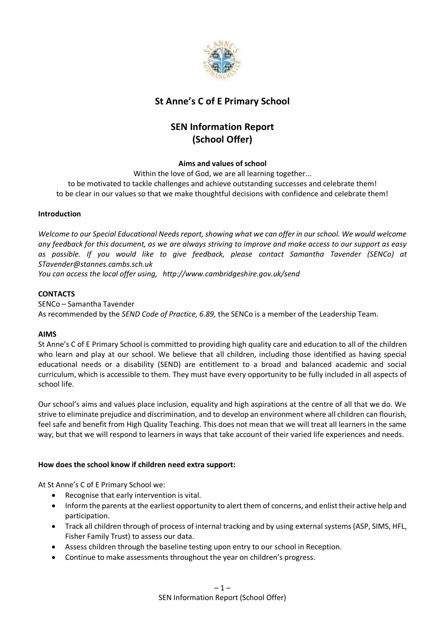

## **St Anne's C of E Primary School**

# **SEN Information Report (School Offer)**

## **Aims and values of school**

Within the love of God, we are all learning together...

to be motivated to tackle challenges and achieve outstanding successes and celebrate them! to be clear in our values so that we make thoughtful decisions with confidence and celebrate them!

#### **Introduction**

*Welcome to our Special Educational Needs report, showing what we can offer in our school. We would welcome any feedback for this document, as we are always striving to improve and make access to our support as easy as possible. If you would like to give feedback, please contact Samantha Tavender (SENCo) at STavender@stannes.cambs.sch.uk*

*You can access the local offer using, http://www.cambridgeshire.gov.uk/send*

#### **CONTACTS**

SENCo – Samantha Tavender As recommended by the *SEND Code of Practice, 6.89,* the SENCo is a member of the Leadership Team.

#### **AIMS**

St Anne's C of E Primary School is committed to providing high quality care and education to all of the children who learn and play at our school. We believe that all children, including those identified as having special educational needs or a disability (SEND) are entitlement to a broad and balanced academic and social curriculum, which is accessible to them. They must have every opportunity to be fully included in all aspects of school life.

Our school's aims and values place inclusion, equality and high aspirations at the centre of all that we do. We strive to eliminate prejudice and discrimination, and to develop an environment where all children can flourish, feel safe and benefit from High Quality Teaching. This does not mean that we will treat all learners in the same way, but that we will respond to learners in ways that take account of their varied life experiences and needs.

## **How does the school know if children need extra support:**

At St Anne's C of E Primary School we:

- Recognise that early intervention is vital.
- Inform the parents at the earliest opportunity to alert them of concerns, and enlist their active help and participation.
- Track all children through of process of internal tracking and by using external systems (ASP, SIMS, HFL, Fisher Family Trust) to assess our data.
- Assess children through the baseline testing upon entry to our school in Reception.
- Continue to make assessments throughout the year on children's progress.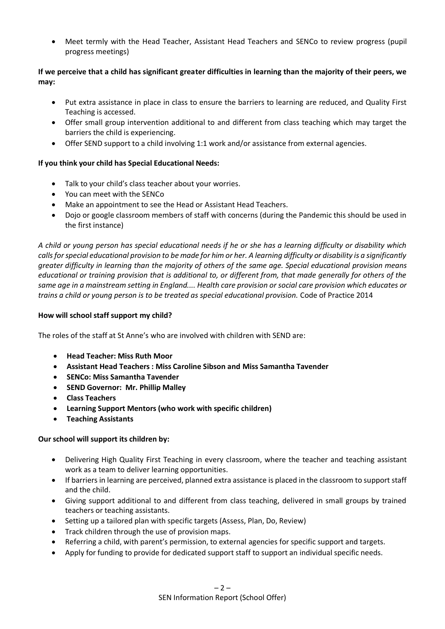Meet termly with the Head Teacher, Assistant Head Teachers and SENCo to review progress (pupil progress meetings)

## **If we perceive that a child has significant greater difficulties in learning than the majority of their peers, we may:**

- Put extra assistance in place in class to ensure the barriers to learning are reduced, and Quality First Teaching is accessed.
- Offer small group intervention additional to and different from class teaching which may target the barriers the child is experiencing.
- Offer SEND support to a child involving 1:1 work and/or assistance from external agencies.

## **If you think your child has Special Educational Needs:**

- Talk to your child's class teacher about your worries.
- You can meet with the SENCo
- Make an appointment to see the Head or Assistant Head Teachers.
- Dojo or google classroom members of staff with concerns (during the Pandemic this should be used in the first instance)

*A child or young person has special educational needs if he or she has a learning difficulty or disability which calls for special educational provision to be made for him or her. A learning difficulty or disability is a significantly greater difficulty in learning than the majority of others of the same age. Special educational provision means educational or training provision that is additional to, or different from, that made generally for others of the same age in a mainstream setting in England.... Health care provision or social care provision which educates or trains a child or young person is to be treated as special educational provision.* Code of Practice 2014

#### **How will school staff support my child?**

The roles of the staff at St Anne's who are involved with children with SEND are:

- **Head Teacher: Miss Ruth Moor**
- **Assistant Head Teachers : Miss Caroline Sibson and Miss Samantha Tavender**
- **SENCo: Miss Samantha Tavender**
- **SEND Governor: Mr. Phillip Malley**
- **Class Teachers**
- **Learning Support Mentors (who work with specific children)**
- **Teaching Assistants**

#### **Our school will support its children by:**

- Delivering High Quality First Teaching in every classroom, where the teacher and teaching assistant work as a team to deliver learning opportunities.
- If barriers in learning are perceived, planned extra assistance is placed in the classroom to support staff and the child.
- Giving support additional to and different from class teaching, delivered in small groups by trained teachers or teaching assistants.
- Setting up a tailored plan with specific targets (Assess, Plan, Do, Review)
- Track children through the use of provision maps.
- Referring a child, with parent's permission, to external agencies for specific support and targets.
- Apply for funding to provide for dedicated support staff to support an individual specific needs.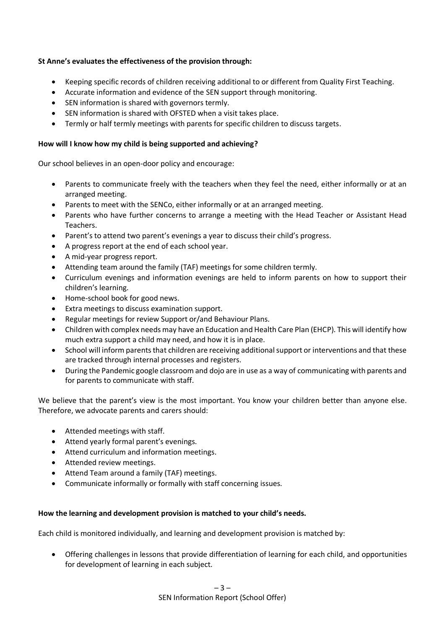## **St Anne's evaluates the effectiveness of the provision through:**

- Keeping specific records of children receiving additional to or different from Quality First Teaching.
- Accurate information and evidence of the SEN support through monitoring.
- SEN information is shared with governors termly.
- SEN information is shared with OFSTED when a visit takes place.
- Termly or half termly meetings with parents for specific children to discuss targets.

#### **How will I know how my child is being supported and achieving?**

Our school believes in an open-door policy and encourage:

- Parents to communicate freely with the teachers when they feel the need, either informally or at an arranged meeting.
- Parents to meet with the SENCo, either informally or at an arranged meeting.
- Parents who have further concerns to arrange a meeting with the Head Teacher or Assistant Head Teachers.
- Parent's to attend two parent's evenings a year to discuss their child's progress.
- A progress report at the end of each school year.
- A mid-year progress report.
- Attending team around the family (TAF) meetings for some children termly.
- Curriculum evenings and information evenings are held to inform parents on how to support their children's learning.
- Home-school book for good news.
- Extra meetings to discuss examination support.
- Regular meetings for review Support or/and Behaviour Plans.
- Children with complex needs may have an Education and Health Care Plan (EHCP). This will identify how much extra support a child may need, and how it is in place.
- School will inform parents that children are receiving additional support or interventions and that these are tracked through internal processes and registers.
- During the Pandemic google classroom and dojo are in use as a way of communicating with parents and for parents to communicate with staff.

We believe that the parent's view is the most important. You know your children better than anyone else. Therefore, we advocate parents and carers should:

- Attended meetings with staff.
- Attend yearly formal parent's evenings.
- Attend curriculum and information meetings.
- Attended review meetings.
- Attend Team around a family (TAF) meetings.
- Communicate informally or formally with staff concerning issues.

## **How the learning and development provision is matched to your child's needs.**

Each child is monitored individually, and learning and development provision is matched by:

 Offering challenges in lessons that provide differentiation of learning for each child, and opportunities for development of learning in each subject.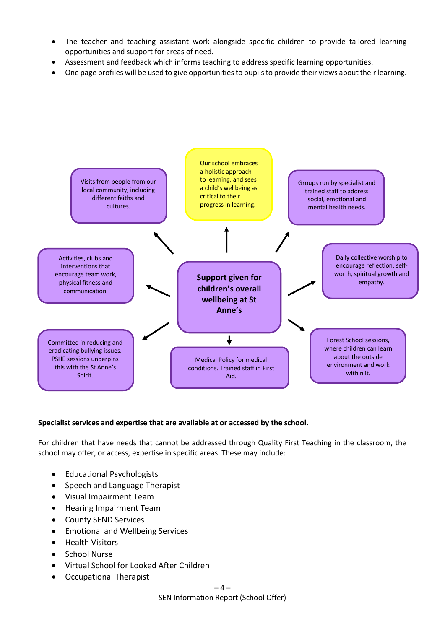- The teacher and teaching assistant work alongside specific children to provide tailored learning opportunities and support for areas of need.
- Assessment and feedback which informs teaching to address specific learning opportunities.
- One page profiles will be used to give opportunities to pupils to provide their views about their learning.



## **Specialist services and expertise that are available at or accessed by the school.**

For children that have needs that cannot be addressed through Quality First Teaching in the classroom, the school may offer, or access, expertise in specific areas. These may include:

- Educational Psychologists
- Speech and Language Therapist
- Visual Impairment Team
- Hearing Impairment Team
- County SEND Services
- Emotional and Wellbeing Services
- Health Visitors
- School Nurse
- Virtual School for Looked After Children
- Occupational Therapist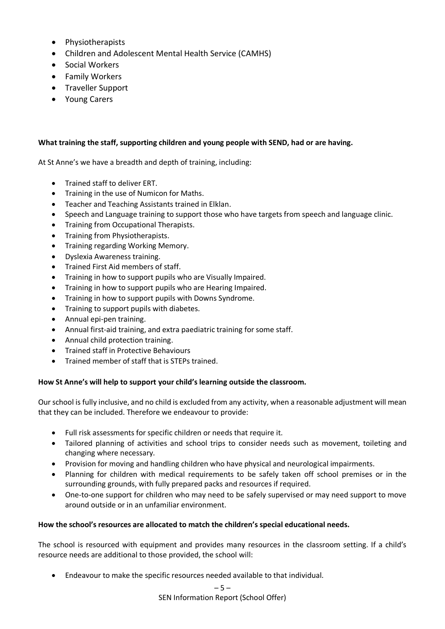- Physiotherapists
- Children and Adolescent Mental Health Service (CAMHS)
- Social Workers
- Family Workers
- Traveller Support
- Young Carers

## **What training the staff, supporting children and young people with SEND, had or are having.**

At St Anne's we have a breadth and depth of training, including:

- Trained staff to deliver ERT.
- Training in the use of Numicon for Maths.
- Teacher and Teaching Assistants trained in Elklan.
- Speech and Language training to support those who have targets from speech and language clinic.
- Training from Occupational Therapists.
- Training from Physiotherapists.
- Training regarding Working Memory.
- Dyslexia Awareness training.
- Trained First Aid members of staff.
- Training in how to support pupils who are Visually Impaired.
- Training in how to support pupils who are Hearing Impaired.
- Training in how to support pupils with Downs Syndrome.
- Training to support pupils with diabetes.
- Annual epi-pen training.
- Annual first-aid training, and extra paediatric training for some staff.
- Annual child protection training.
- Trained staff in Protective Behaviours
- Trained member of staff that is STEPs trained.

## **How St Anne's will help to support your child's learning outside the classroom.**

Our school is fully inclusive, and no child is excluded from any activity, when a reasonable adjustment will mean that they can be included. Therefore we endeavour to provide:

- Full risk assessments for specific children or needs that require it.
- Tailored planning of activities and school trips to consider needs such as movement, toileting and changing where necessary.
- Provision for moving and handling children who have physical and neurological impairments.
- Planning for children with medical requirements to be safely taken off school premises or in the surrounding grounds, with fully prepared packs and resources if required.
- One-to-one support for children who may need to be safely supervised or may need support to move around outside or in an unfamiliar environment.

## **How the school's resources are allocated to match the children's special educational needs.**

The school is resourced with equipment and provides many resources in the classroom setting. If a child's resource needs are additional to those provided, the school will:

Endeavour to make the specific resources needed available to that individual.

SEN Information Report (School Offer)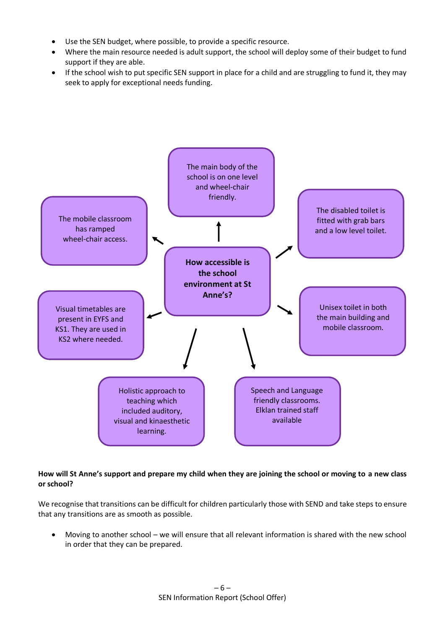- Use the SEN budget, where possible, to provide a specific resource.
- Where the main resource needed is adult support, the school will deploy some of their budget to fund support if they are able.
- If the school wish to put specific SEN support in place for a child and are struggling to fund it, they may seek to apply for exceptional needs funding.



## **How will St Anne's support and prepare my child when they are joining the school or moving to a new class or school?**

We recognise that transitions can be difficult for children particularly those with SEND and take steps to ensure that any transitions are as smooth as possible.

 Moving to another school – we will ensure that all relevant information is shared with the new school in order that they can be prepared.